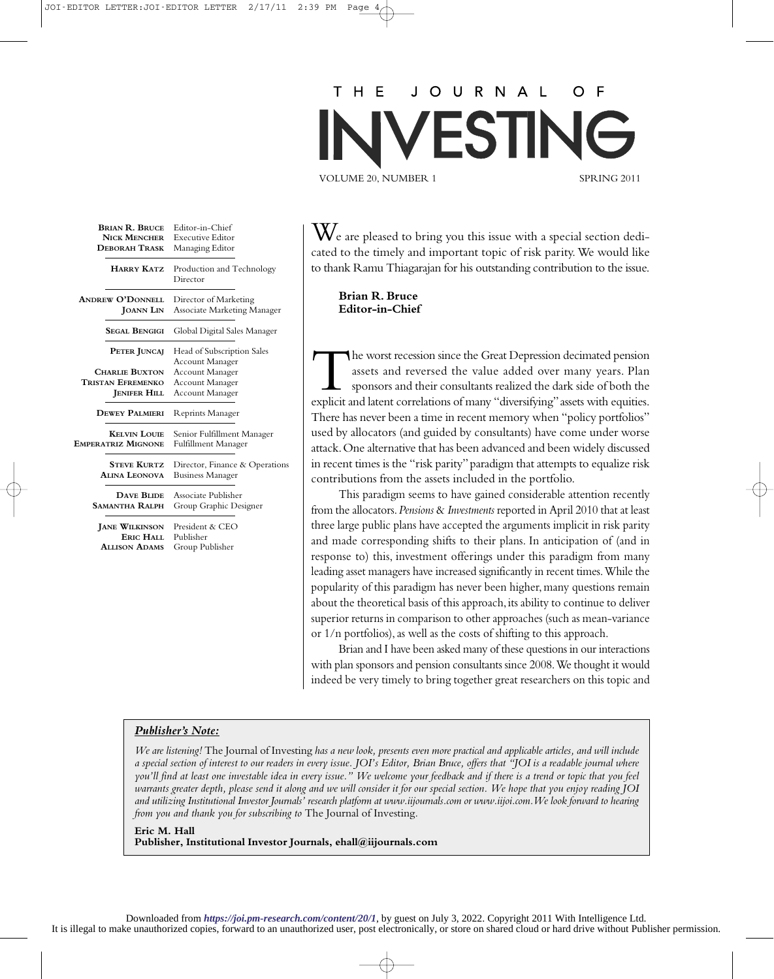## $H$  E J O U R N A L O ESTIN VOLUME 20, NUMBER 1 SPRING 2011

| <b>BRIAN R. BRUCE</b><br><b>NICK MENCHER</b><br><b>DEBORAH TRASK</b> | Editor-in-Chief<br><b>Executive Editor</b><br>Managing Editor |
|----------------------------------------------------------------------|---------------------------------------------------------------|
| <b>HARRY KATZ</b>                                                    | Production and Technology<br>Director                         |
| <b>ANDREW O'DONNELL</b><br><b>JOANN LIN</b>                          | Director of Marketing<br><b>Associate Marketing Manager</b>   |
| <b>SEGAL BENGIGI</b>                                                 | Global Digital Sales Manager                                  |
| PETER JUNCAJ                                                         | Head of Subscription Sales<br><b>Account Manager</b>          |
| <b>CHARLIE BUXTON</b>                                                | <b>Account Manager</b>                                        |
| <b>TRISTAN EFREMENKO</b>                                             | <b>Account Manager</b>                                        |
| <b>JENIFER HILL</b>                                                  | Account Manager                                               |
| <b>DEWEY PALMIERI</b>                                                | <b>Reprints Manager</b>                                       |
| <b>KELVIN LOUIE</b><br><b>EMPERATRIZ MIGNONE</b>                     | Senior Fulfillment Manager<br>Fulfillment Manager             |
| <b>STEVE KURTZ</b><br><b>ALINA LEONOVA</b>                           | Director, Finance & Operations<br><b>Business Manager</b>     |
| <b>DAVE BLIDE</b><br><b>SAMANTHA RALPH</b>                           | Associate Publisher<br>Group Graphic Designer                 |
| <b>JANE WILKINSON</b><br>ERIC HALL<br><b>ALLISON ADAMS</b>           | President & CEO<br>Publisher<br>Group Publisher               |
|                                                                      |                                                               |

 $\rm\bf W$ e are pleased to bring you this issue with a special section dedicated to the timely and important topic of risk parity. We would like to thank Ramu Thiagarajan for his outstanding contribution to the issue.

**Brian R. Bruce Editor-in-Chief**

The worst recession since the Great Depression decimated pension assets and reversed the value added over many years. Plan sponsors and their consultants realized the dark side of both the explicit and latent correlations of many "diversifying" assets with equities. There has never been a time in recent memory when "policy portfolios" used by allocators (and guided by consultants) have come under worse attack.One alternative that has been advanced and been widely discussed in recent times is the "risk parity"paradigm that attempts to equalize risk contributions from the assets included in the portfolio.

This paradigm seems to have gained considerable attention recently from the allocators.*Pensions* & *Investments* reported in April 2010 that at least three large public plans have accepted the arguments implicit in risk parity and made corresponding shifts to their plans. In anticipation of (and in response to) this, investment offerings under this paradigm from many leading asset managers have increased significantly in recent times.While the popularity of this paradigm has never been higher, many questions remain about the theoretical basis of this approach, its ability to continue to deliver superior returns in comparison to other approaches (such as mean-variance or 1/n portfolios), as well as the costs of shifting to this approach.

Brian and I have been asked many of these questions in our interactions with plan sponsors and pension consultants since 2008.We thought it would indeed be very timely to bring together great researchers on this topic and

## *Publisher's Note:*

*We are listening!* The Journal of Investing *has a new look, presents even more practical and applicable articles, and will include a special section of interest to our readers in every issue. JOI's Editor, Brian Bruce, offers that "JOI is a readable journal where you'll find at least one investable idea in every issue." We welcome your feedback and if there is a trend or topic that you feel warrants greater depth, please send it along and we will consider it for our special section. We hope that you enjoy reading JOI and utilizing Institutional Investor Journals' research platform at www.iijournals.com or www.iijoi.com.We look forward to hearing from you and thank you for subscribing to* The Journal of Investing*.*

## **Eric M. Hall**

**Publisher, Institutional Investor Journals, ehall@iijournals.com**